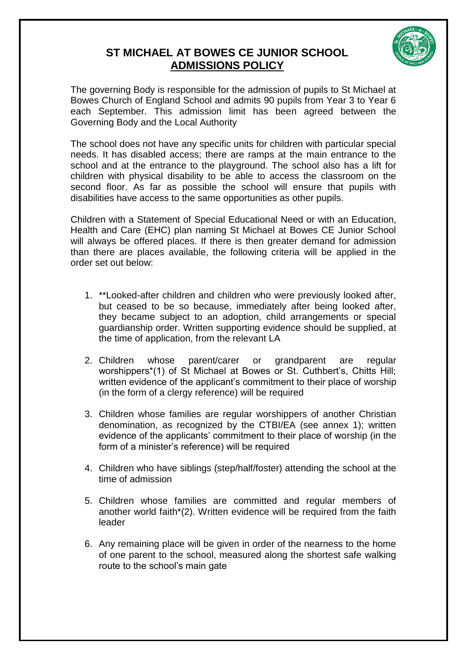## **ST MICHAEL AT BOWES CE JUNIOR SCHOOL ADMISSIONS POLICY**



The governing Body is responsible for the admission of pupils to St Michael at Bowes Church of England School and admits 90 pupils from Year 3 to Year 6 each September. This admission limit has been agreed between the Governing Body and the Local Authority

The school does not have any specific units for children with particular special needs. It has disabled access; there are ramps at the main entrance to the school and at the entrance to the playground. The school also has a lift for children with physical disability to be able to access the classroom on the second floor. As far as possible the school will ensure that pupils with disabilities have access to the same opportunities as other pupils.

Children with a Statement of Special Educational Need or with an Education, Health and Care (EHC) plan naming St Michael at Bowes CE Junior School will always be offered places. If there is then greater demand for admission than there are places available, the following criteria will be applied in the order set out below:

- 1. \*\*Looked-after children and children who were previously looked after, but ceased to be so because, immediately after being looked after, they became subject to an adoption, child arrangements or special guardianship order. Written supporting evidence should be supplied, at the time of application, from the relevant LA
- 2. Children whose parent/carer or grandparent are regular worshippers\*(1) of St Michael at Bowes or St. Cuthbert's, Chitts Hill; written evidence of the applicant's commitment to their place of worship (in the form of a clergy reference) will be required
- 3. Children whose families are regular worshippers of another Christian denomination, as recognized by the CTBI/EA (see annex 1); written evidence of the applicants' commitment to their place of worship (in the form of a minister's reference) will be required
- 4. Children who have siblings (step/half/foster) attending the school at the time of admission
- 5. Children whose families are committed and regular members of another world faith\*(2). Written evidence will be required from the faith leader
- 6. Any remaining place will be given in order of the nearness to the home of one parent to the school, measured along the shortest safe walking route to the school's main gate